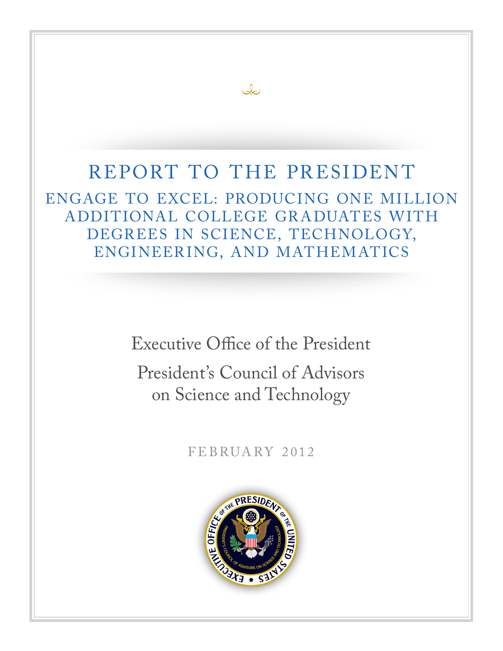## REPORT TO THE PRESIDENT ENGAGE TO EXCEL: PRODUCING ONE MILLION ADDITIONAL COLLEGE GRADUATES WITH DEGREES IN SCIENCE, TECHNOLOGY, ENGINEER ING, AND MATHEMATICS

نطف

Executive Office of the President President's Council of Advisors on Science and Technology

FEBRUARY 2012

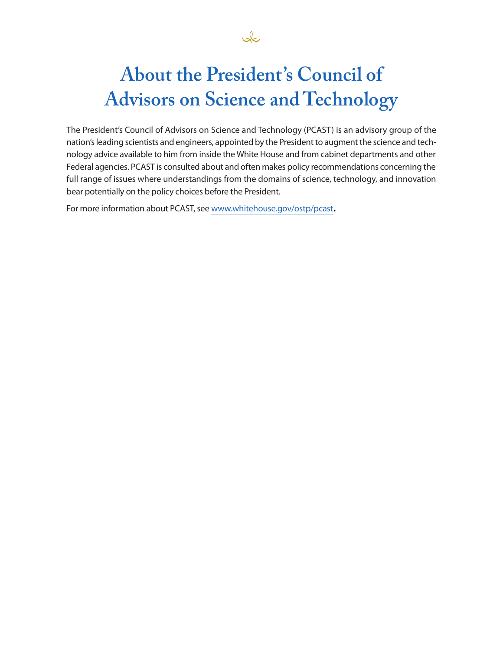

# **About the President's Council of Advisors on Science and Technology**

The President's Council of Advisors on Science and Technology (PCAST) is an advisory group of the nation's leading scientists and engineers, appointed by the President to augment the science and technology advice available to him from inside the White House and from cabinet departments and other Federal agencies. PCAST is consulted about and often makes policy recommendations concerning the full range of issues where understandings from the domains of science, technology, and innovation bear potentially on the policy choices before the President.

For more information about PCAST, see [www.whitehouse.gov/ostp/pcast](http://www.whitehouse.gov/ostp/pcast)**.**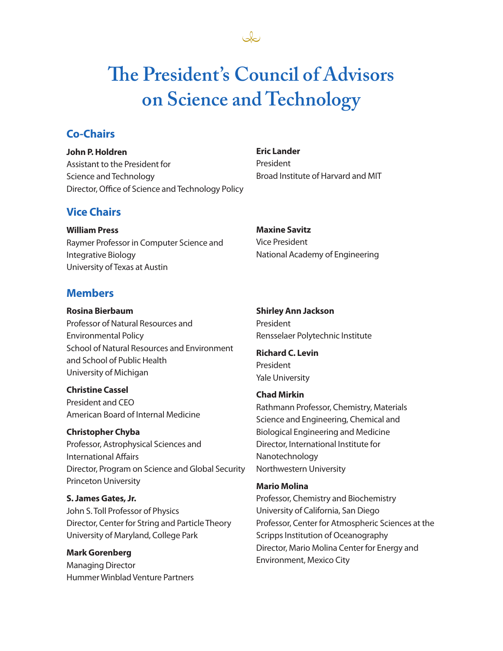

# **The President's Council of Advisors on Science and Technology**

## **Co-Chairs**

**John P. Holdren** Assistant to the President for Science and Technology Director, Office of Science and Technology Policy

#### **Eric Lander**

President Broad Institute of Harvard and MIT

## **Vice Chairs**

**William Press** Raymer Professor in Computer Science and Integrative Biology University of Texas at Austin

#### **Maxine Savitz** Vice President

National Academy of Engineering

## **Members**

**Rosina Bierbaum** Professor of Natural Resources and Environmental Policy School of Natural Resources and Environment and School of Public Health University of Michigan

#### **Christine Cassel**

President and CEO American Board of Internal Medicine

#### **Christopher Chyba**

Professor, Astrophysical Sciences and International Affairs Director, Program on Science and Global Security Princeton University

#### **S. James Gates, Jr.**

John S. Toll Professor of Physics Director, Center for String and Particle Theory University of Maryland, College Park

#### **Mark Gorenberg**

Managing Director Hummer Winblad Venture Partners **Shirley Ann Jackson** President Rensselaer Polytechnic Institute

**Richard C. Levin** President Yale University

## **Chad Mirkin**

Rathmann Professor, Chemistry, Materials Science and Engineering, Chemical and Biological Engineering and Medicine Director, International Institute for Nanotechnology Northwestern University

## **Mario Molina**

Professor, Chemistry and Biochemistry University of California, San Diego Professor, Center for Atmospheric Sciences at the Scripps Institution of Oceanography Director, Mario Molina Center for Energy and Environment, Mexico City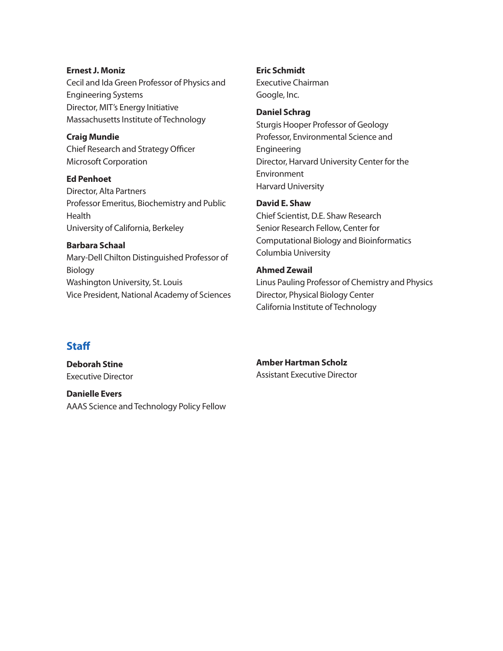**Ernest J. Moniz** Cecil and Ida Green Professor of Physics and Engineering Systems Director, MIT's Energy Initiative Massachusetts Institute of Technology

**Craig Mundie** Chief Research and Strategy Officer Microsoft Corporation

**Ed Penhoet** Director, Alta Partners Professor Emeritus, Biochemistry and Public **Health** University of California, Berkeley

**Barbara Schaal** Mary-Dell Chilton Distinguished Professor of Biology Washington University, St. Louis Vice President, National Academy of Sciences **Eric Schmidt**

Executive Chairman Google, Inc.

**Daniel Schrag** Sturgis Hooper Professor of Geology Professor, Environmental Science and Engineering Director, Harvard University Center for the Environment Harvard University

**David E. Shaw** Chief Scientist, D.E. Shaw Research Senior Research Fellow, Center for Computational Biology and Bioinformatics Columbia University

**Ahmed Zewail** Linus Pauling Professor of Chemistry and Physics Director, Physical Biology Center California Institute of Technology

## **Staff**

**Deborah Stine** Executive Director

**Danielle Evers** AAAS Science and Technology Policy Fellow **Amber Hartman Scholz** Assistant Executive Director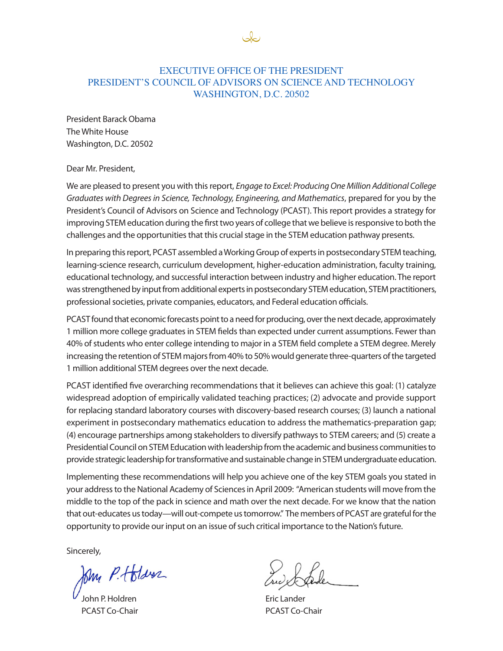## EXECUTIVE OFFICE OF THE PRESIDENT PRESIDENT'S COUNCIL OF ADVISORS ON SCIENCE AND TECHNOLOGY WASHINGTON, D.C. 20502

President Barack Obama The White House Washington, D.C. 20502

#### Dear Mr. President,

We are pleased to present you with this report, *Engage to Excel: Producing One Million Additional College Graduates with Degrees in Science, Technology, Engineering, and Mathematics*, prepared for you by the President's Council of Advisors on Science and Technology (PCAST). This report provides a strategy for improving STEM education during the first two years of college that we believe is responsive to both the challenges and the opportunities that this crucial stage in the STEM education pathway presents.

In preparing this report, PCAST assembled a Working Group of experts in postsecondary STEM teaching, learning-science research, curriculum development, higher-education administration, faculty training, educational technology, and successful interaction between industry and higher education. The report was strengthened by input from additional experts in postsecondary STEM education, STEM practitioners, professional societies, private companies, educators, and Federal education officials.

PCAST found that economic forecasts point to a need for producing, over the next decade, approximately 1 million more college graduates in STEM fields than expected under current assumptions. Fewer than 40% of students who enter college intending to major in a STEM field complete a STEM degree. Merely increasing the retention of STEM majors from 40% to 50% would generate three-quarters of the targeted 1 million additional STEM degrees over the next decade.

PCAST identified five overarching recommendations that it believes can achieve this goal: (1) catalyze widespread adoption of empirically validated teaching practices; (2) advocate and provide support for replacing standard laboratory courses with discovery-based research courses; (3) launch a national experiment in postsecondary mathematics education to address the mathematics-preparation gap; (4) encourage partnerships among stakeholders to diversify pathways to STEM careers; and (5) create a Presidential Council on STEM Education with leadership from the academic and business communities to provide strategic leadership for transformative and sustainable change in STEM undergraduate education.

Implementing these recommendations will help you achieve one of the key STEM goals you stated in your address to the National Academy of Sciences in April 2009: "American students will move from the middle to the top of the pack in science and math over the next decade. For we know that the nation that out-educates us today—will out-compete us tomorrow." The members of PCAST are grateful for the opportunity to provide our input on an issue of such critical importance to the Nation's future.

Sincerely,

Jam P. Holder

 John P. Holdren PCAST Co-Chair

Eric Lander PCAST Co-Chair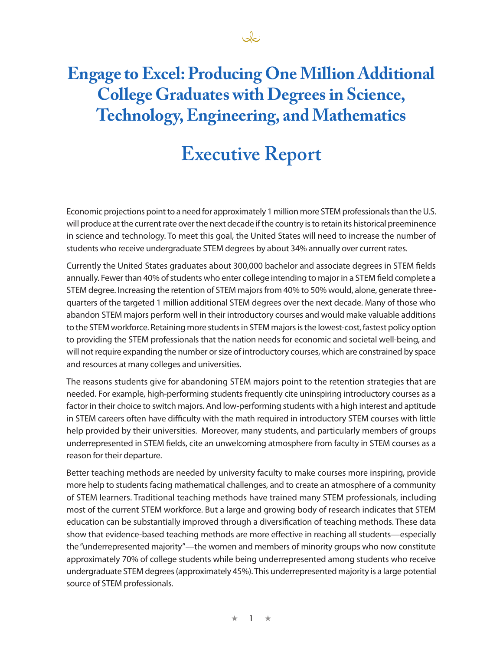## **Engage to Excel: Producing One Million Additional College Graduates with Degrees in Science, Technology, Engineering, and Mathematics**

## **Executive Report**

Economic projections point to a need for approximately 1 million more STEM professionals than the U.S. will produce at the current rate over the next decade if the country is to retain its historical preeminence in science and technology. To meet this goal, the United States will need to increase the number of students who receive undergraduate STEM degrees by about 34% annually over current rates.

Currently the United States graduates about 300,000 bachelor and associate degrees in STEM fields annually. Fewer than 40% of students who enter college intending to major in a STEM field complete a STEM degree. Increasing the retention of STEM majors from 40% to 50% would, alone, generate threequarters of the targeted 1 million additional STEM degrees over the next decade. Many of those who abandon STEM majors perform well in their introductory courses and would make valuable additions to the STEM workforce. Retaining more students in STEM majors is the lowest-cost, fastest policy option to providing the STEM professionals that the nation needs for economic and societal well-being, and will not require expanding the number or size of introductory courses, which are constrained by space and resources at many colleges and universities.

The reasons students give for abandoning STEM majors point to the retention strategies that are needed. For example, high-performing students frequently cite uninspiring introductory courses as a factor in their choice to switch majors. And low-performing students with a high interest and aptitude in STEM careers often have difficulty with the math required in introductory STEM courses with little help provided by their universities. Moreover, many students, and particularly members of groups underrepresented in STEM fields, cite an unwelcoming atmosphere from faculty in STEM courses as a reason for their departure.

Better teaching methods are needed by university faculty to make courses more inspiring, provide more help to students facing mathematical challenges, and to create an atmosphere of a community of STEM learners. Traditional teaching methods have trained many STEM professionals, including most of the current STEM workforce. But a large and growing body of research indicates that STEM education can be substantially improved through a diversification of teaching methods. These data show that evidence-based teaching methods are more effective in reaching all students—especially the "underrepresented majority"—the women and members of minority groups who now constitute approximately 70% of college students while being underrepresented among students who receive undergraduate STEM degrees (approximately 45%). This underrepresented majority is a large potential source of STEM professionals.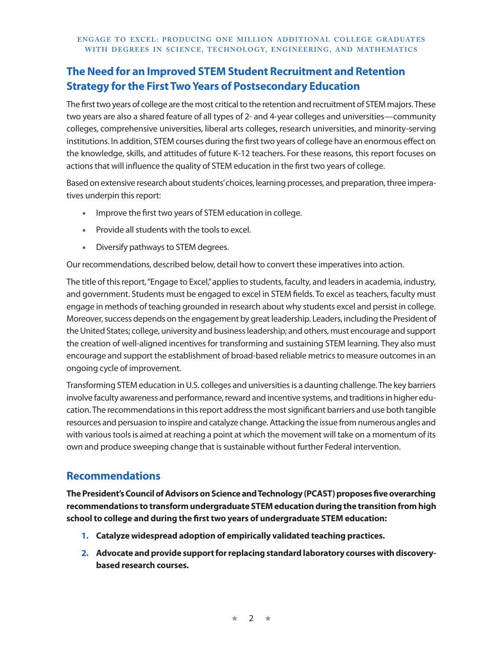## **The Need for an Improved STEM Student Recruitment and Retention Strategy for the First Two Years of Postsecondary Education**

The first two years of college are the most critical to the retention and recruitment of STEM majors. These two years are also a shared feature of all types of 2- and 4-year colleges and universities—community colleges, comprehensive universities, liberal arts colleges, research universities, and minority-serving institutions. In addition, STEM courses during the first two years of college have an enormous effect on the knowledge, skills, and attitudes of future K-12 teachers. For these reasons, this report focuses on actions that will influence the quality of STEM education in the first two years of college.

Based on extensive research about students' choices, learning processes, and preparation, three imperatives underpin this report:

- Improve the first two years of STEM education in college.
- Provide all students with the tools to excel.
- Diversify pathways to STEM degrees.

Our recommendations, described below, detail how to convert these imperatives into action.

The title of this report, "Engage to Excel," applies to students, faculty, and leaders in academia, industry, and government. Students must be engaged to excel in STEM fields. To excel as teachers, faculty must engage in methods of teaching grounded in research about why students excel and persist in college. Moreover, success depends on the engagement by great leadership. Leaders, including the President of the United States; college, university and business leadership; and others, must encourage and support the creation of well-aligned incentives for transforming and sustaining STEM learning. They also must encourage and support the establishment of broad-based reliable metrics to measure outcomes in an ongoing cycle of improvement.

Transforming STEM education in U.S. colleges and universities is a daunting challenge. The key barriers involve faculty awareness and performance, reward and incentive systems, and traditions in higher education. The recommendations in this report address the most significant barriers and use both tangible resources and persuasion to inspire and catalyze change. Attacking the issue from numerous angles and with various tools is aimed at reaching a point at which the movement will take on a momentum of its own and produce sweeping change that is sustainable without further Federal intervention.

## **Recommendations**

**The President's Council of Advisors on Science and Technology (PCAST) proposes five overarching recommendations to transform undergraduate STEM education during the transition from high school to college and during the first two years of undergraduate STEM education:**

- **1. Catalyze widespread adoption of empirically validated teaching practices.**
- **2. Advocate and provide support for replacing standard laboratory courses with discoverybased research courses.**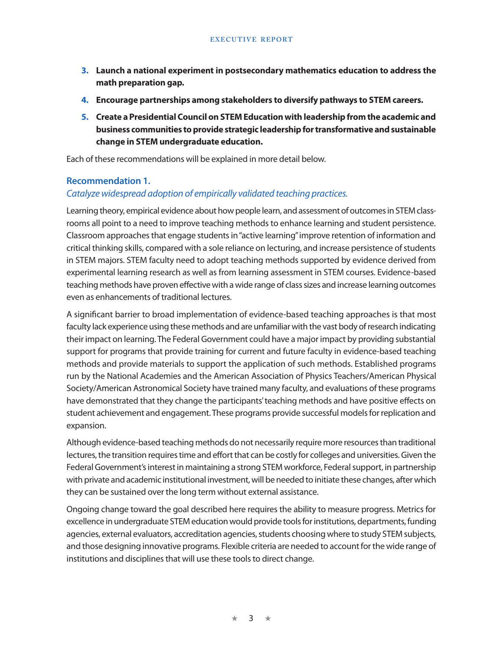- **3. Launch a national experiment in postsecondary mathematics education to address the math preparation gap.**
- **4. Encourage partnerships among stakeholders to diversify pathways to STEM careers.**
- **5. Create a Presidential Council on STEM Education with leadership from the academic and business communities to provide strategic leadership for transformative and sustainable change in STEM undergraduate education.**

Each of these recommendations will be explained in more detail below.

#### **Recommendation 1.**

#### *Catalyze widespread adoption of empirically validated teaching practices.*

Learning theory, empirical evidence about how people learn, and assessment of outcomes in STEM classrooms all point to a need to improve teaching methods to enhance learning and student persistence. Classroom approaches that engage students in "active learning" improve retention of information and critical thinking skills, compared with a sole reliance on lecturing, and increase persistence of students in STEM majors. STEM faculty need to adopt teaching methods supported by evidence derived from experimental learning research as well as from learning assessment in STEM courses. Evidence-based teaching methods have proven effective with a wide range of class sizes and increase learning outcomes even as enhancements of traditional lectures.

A significant barrier to broad implementation of evidence-based teaching approaches is that most faculty lack experience using these methods and are unfamiliar with the vast body of research indicating their impact on learning. The Federal Government could have a major impact by providing substantial support for programs that provide training for current and future faculty in evidence-based teaching methods and provide materials to support the application of such methods. Established programs run by the National Academies and the American Association of Physics Teachers/American Physical Society/American Astronomical Society have trained many faculty, and evaluations of these programs have demonstrated that they change the participants' teaching methods and have positive effects on student achievement and engagement. These programs provide successful models for replication and expansion.

Although evidence-based teaching methods do not necessarily require more resources than traditional lectures, the transition requires time and effort that can be costly for colleges and universities. Given the Federal Government's interest in maintaining a strong STEM workforce, Federal support, in partnership with private and academic institutional investment, will be needed to initiate these changes, after which they can be sustained over the long term without external assistance.

Ongoing change toward the goal described here requires the ability to measure progress. Metrics for excellence in undergraduate STEM education would provide tools for institutions, departments, funding agencies, external evaluators, accreditation agencies, students choosing where to study STEM subjects, and those designing innovative programs. Flexible criteria are needed to account for the wide range of institutions and disciplines that will use these tools to direct change.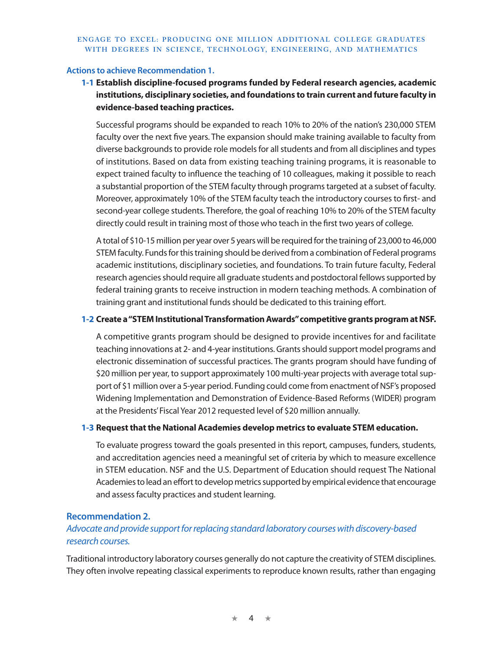#### **Actions to achieve Recommendation 1.**

**1-1 Establish discipline-focused programs funded by Federal research agencies, academic institutions, disciplinary societies, and foundations to train current and future faculty in evidence-based teaching practices.**

Successful programs should be expanded to reach 10% to 20% of the nation's 230,000 STEM faculty over the next five years. The expansion should make training available to faculty from diverse backgrounds to provide role models for all students and from all disciplines and types of institutions. Based on data from existing teaching training programs, it is reasonable to expect trained faculty to influence the teaching of 10 colleagues, making it possible to reach a substantial proportion of the STEM faculty through programs targeted at a subset of faculty. Moreover, approximately 10% of the STEM faculty teach the introductory courses to first- and second-year college students. Therefore, the goal of reaching 10% to 20% of the STEM faculty directly could result in training most of those who teach in the first two years of college.

A total of \$10-15 million per year over 5 years will be required for the training of 23,000 to 46,000 STEM faculty. Funds for this training should be derived from a combination of Federal programs academic institutions, disciplinary societies, and foundations. To train future faculty, Federal research agencies should require all graduate students and postdoctoral fellows supported by federal training grants to receive instruction in modern teaching methods. A combination of training grant and institutional funds should be dedicated to this training effort.

#### **1-2 Create a "STEM Institutional Transformation Awards" competitive grants program at NSF.**

A competitive grants program should be designed to provide incentives for and facilitate teaching innovations at 2- and 4-year institutions. Grants should support model programs and electronic dissemination of successful practices. The grants program should have funding of \$20 million per year, to support approximately 100 multi-year projects with average total support of \$1 million over a 5-year period. Funding could come from enactment of NSF's proposed Widening Implementation and Demonstration of Evidence-Based Reforms (WIDER) program at the Presidents' Fiscal Year 2012 requested level of \$20 million annually.

#### **1-3 Request that the National Academies develop metrics to evaluate STEM education.**

To evaluate progress toward the goals presented in this report, campuses, funders, students, and accreditation agencies need a meaningful set of criteria by which to measure excellence in STEM education. NSF and the U.S. Department of Education should request The National Academies to lead an effort to develop metrics supported by empirical evidence that encourage and assess faculty practices and student learning.

#### **Recommendation 2.**

## *Advocate and provide support for replacing standard laboratory courses with discovery-based research courses.*

Traditional introductory laboratory courses generally do not capture the creativity of STEM disciplines. They often involve repeating classical experiments to reproduce known results, rather than engaging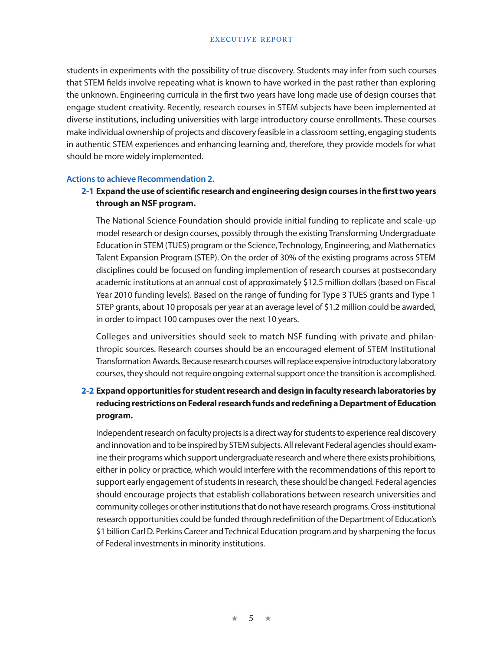#### **Executive Report**

students in experiments with the possibility of true discovery. Students may infer from such courses that STEM fields involve repeating what is known to have worked in the past rather than exploring the unknown. Engineering curricula in the first two years have long made use of design courses that engage student creativity. Recently, research courses in STEM subjects have been implemented at diverse institutions, including universities with large introductory course enrollments. These courses make individual ownership of projects and discovery feasible in a classroom setting, engaging students in authentic STEM experiences and enhancing learning and, therefore, they provide models for what should be more widely implemented.

#### **Actions to achieve Recommendation 2.**

## **2-1 Expand the use of scientific research and engineering design courses in the first two years through an NSF program.**

The National Science Foundation should provide initial funding to replicate and scale-up model research or design courses, possibly through the existing Transforming Undergraduate Education in STEM (TUES) program or the Science, Technology, Engineering, and Mathematics Talent Expansion Program (STEP). On the order of 30% of the existing programs across STEM disciplines could be focused on funding implemention of research courses at postsecondary academic institutions at an annual cost of approximately \$12.5 million dollars (based on Fiscal Year 2010 funding levels). Based on the range of funding for Type 3 TUES grants and Type 1 STEP grants, about 10 proposals per year at an average level of \$1.2 million could be awarded, in order to impact 100 campuses over the next 10 years.

Colleges and universities should seek to match NSF funding with private and philanthropic sources. Research courses should be an encouraged element of STEM Institutional Transformation Awards. Because research courses will replace expensive introductory laboratory courses, they should not require ongoing external support once the transition is accomplished.

## **2-2 Expand opportunities for student research and design in faculty research laboratories by reducing restrictions on Federal research funds and redefining a Department of Education program.**

Independent research on faculty projects is a direct way for students to experience real discovery and innovation and to be inspired by STEM subjects. All relevant Federal agencies should examine their programs which support undergraduate research and where there exists prohibitions, either in policy or practice, which would interfere with the recommendations of this report to support early engagement of students in research, these should be changed. Federal agencies should encourage projects that establish collaborations between research universities and community colleges or other institutions that do not have research programs. Cross-institutional research opportunities could be funded through redefinition of the Department of Education's \$1 billion Carl D. Perkins Career and Technical Education program and by sharpening the focus of Federal investments in minority institutions.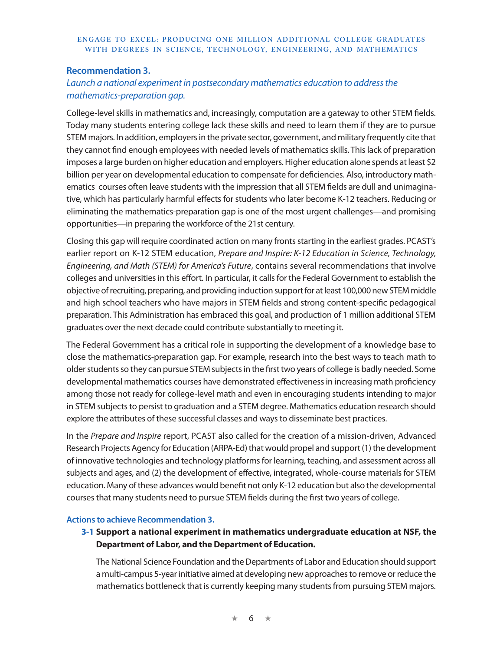#### **ENGAGE TO EXCEL: PRODUCING ONE MILLION ADDITIONAL COLLEGE GRADUATES WITH DEGREES IN SCIENCE, TECHNOLOGY, ENGINEERING, AND MATHEMATICS**

#### **Recommendation 3.**

## *Launch a national experiment in postsecondary mathematics education to address the mathematics-preparation gap.*

College-level skills in mathematics and, increasingly, computation are a gateway to other STEM fields. Today many students entering college lack these skills and need to learn them if they are to pursue STEM majors. In addition, employers in the private sector, government, and military frequently cite that they cannot find enough employees with needed levels of mathematics skills. This lack of preparation imposes a large burden on higher education and employers. Higher education alone spends at least \$2 billion per year on developmental education to compensate for deficiencies. Also, introductory mathematics courses often leave students with the impression that all STEM fields are dull and unimaginative, which has particularly harmful effects for students who later become K-12 teachers. Reducing or eliminating the mathematics-preparation gap is one of the most urgent challenges—and promising opportunities—in preparing the workforce of the 21st century.

Closing this gap will require coordinated action on many fronts starting in the earliest grades. PCAST's earlier report on K-12 STEM education, *Prepare and Inspire: K-12 Education in Science, Technology, Engineering, and Math (STEM) for America's Future*, contains several recommendations that involve colleges and universities in this effort. In particular, it calls for the Federal Government to establish the objective of recruiting, preparing, and providing induction support for at least 100,000 new STEM middle and high school teachers who have majors in STEM fields and strong content-specific pedagogical preparation. This Administration has embraced this goal, and production of 1 million additional STEM graduates over the next decade could contribute substantially to meeting it.

The Federal Government has a critical role in supporting the development of a knowledge base to close the mathematics-preparation gap. For example, research into the best ways to teach math to older students so they can pursue STEM subjects in the first two years of college is badly needed. Some developmental mathematics courses have demonstrated effectiveness in increasing math proficiency among those not ready for college-level math and even in encouraging students intending to major in STEM subjects to persist to graduation and a STEM degree. Mathematics education research should explore the attributes of these successful classes and ways to disseminate best practices.

In the *Prepare and Inspire* report, PCAST also called for the creation of a mission-driven, Advanced Research Projects Agency for Education (ARPA-Ed) that would propel and support (1) the development of innovative technologies and technology platforms for learning, teaching, and assessment across all subjects and ages, and (2) the development of effective, integrated, whole-course materials for STEM education. Many of these advances would benefit not only K-12 education but also the developmental courses that many students need to pursue STEM fields during the first two years of college.

#### **Actions to achieve Recommendation 3.**

#### **3-1 Support a national experiment in mathematics undergraduate education at NSF, the Department of Labor, and the Department of Education.**

The National Science Foundation and the Departments of Labor and Education should support a multi-campus 5-year initiative aimed at developing new approaches to remove or reduce the mathematics bottleneck that is currently keeping many students from pursuing STEM majors.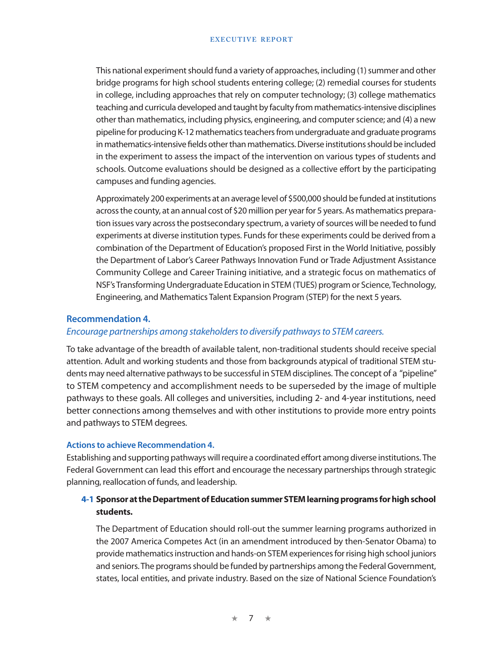#### **Executive Report**

This national experiment should fund a variety of approaches, including (1) summer and other bridge programs for high school students entering college; (2) remedial courses for students in college, including approaches that rely on computer technology; (3) college mathematics teaching and curricula developed and taught by faculty from mathematics-intensive disciplines other than mathematics, including physics, engineering, and computer science; and (4) a new pipeline for producing K-12 mathematics teachers from undergraduate and graduate programs in mathematics-intensive fields other than mathematics. Diverse institutions should be included in the experiment to assess the impact of the intervention on various types of students and schools. Outcome evaluations should be designed as a collective effort by the participating campuses and funding agencies.

Approximately 200 experiments at an average level of \$500,000 should be funded at institutions across the county, at an annual cost of \$20 million per year for 5 years. As mathematics preparation issues vary across the postsecondary spectrum, a variety of sources will be needed to fund experiments at diverse institution types. Funds for these experiments could be derived from a combination of the Department of Education's proposed First in the World Initiative, possibly the Department of Labor's Career Pathways Innovation Fund or Trade Adjustment Assistance Community College and Career Training initiative, and a strategic focus on mathematics of NSF's Transforming Undergraduate Education in STEM (TUES) program or Science, Technology, Engineering, and Mathematics Talent Expansion Program (STEP) for the next 5 years.

#### **Recommendation 4.**

#### *Encourage partnerships among stakeholders to diversify pathways to STEM careers.*

To take advantage of the breadth of available talent, non-traditional students should receive special attention. Adult and working students and those from backgrounds atypical of traditional STEM students may need alternative pathways to be successful in STEM disciplines. The concept of a "pipeline" to STEM competency and accomplishment needs to be superseded by the image of multiple pathways to these goals. All colleges and universities, including 2- and 4-year institutions, need better connections among themselves and with other institutions to provide more entry points and pathways to STEM degrees.

#### **Actions to achieve Recommendation 4.**

Establishing and supporting pathways will require a coordinated effort among diverse institutions. The Federal Government can lead this effort and encourage the necessary partnerships through strategic planning, reallocation of funds, and leadership.

#### **4-1 Sponsor at the Department of Education summer STEM learning programs for high school students.**

The Department of Education should roll-out the summer learning programs authorized in the 2007 America Competes Act (in an amendment introduced by then-Senator Obama) to provide mathematics instruction and hands-on STEM experiences for rising high school juniors and seniors. The programs should be funded by partnerships among the Federal Government, states, local entities, and private industry. Based on the size of National Science Foundation's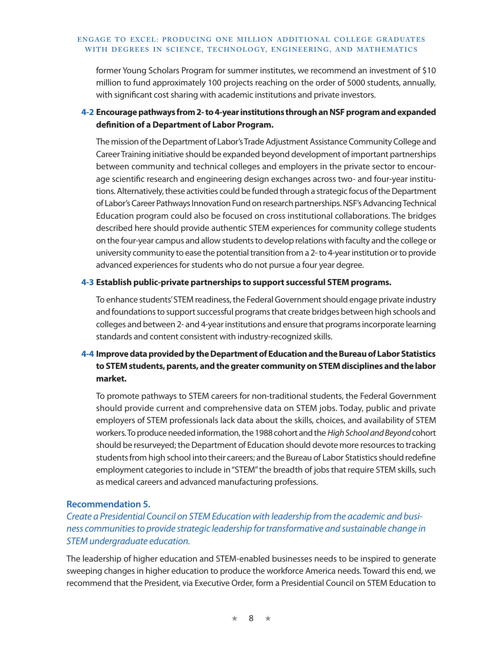#### **ENGAGE TO EXCEL: PRODUCING ONE MILLION ADDITIONAL COLLEGE GRADUATES WITH DEGREES IN SCIENCE, TECHNOLOGY, ENGINEERING, AND MATHEMATICS**

former Young Scholars Program for summer institutes, we recommend an investment of \$10 million to fund approximately 100 projects reaching on the order of 5000 students, annually, with significant cost sharing with academic institutions and private investors.

#### **4-2 Encourage pathways from 2- to 4-year institutions through an NSF program and expanded definition of a Department of Labor Program.**

The mission of the Department of Labor's Trade Adjustment Assistance Community College and Career Training initiative should be expanded beyond development of important partnerships between community and technical colleges and employers in the private sector to encourage scientific research and engineering design exchanges across two- and four-year institutions. Alternatively, these activities could be funded through a strategic focus of the Department of Labor's Career Pathways Innovation Fund on research partnerships. NSF's Advancing Technical Education program could also be focused on cross institutional collaborations. The bridges described here should provide authentic STEM experiences for community college students on the four-year campus and allow students to develop relations with faculty and the college or university community to ease the potential transition from a 2- to 4-year institution or to provide advanced experiences for students who do not pursue a four year degree.

#### **4-3 Establish public-private partnerships to support successful STEM programs.**

To enhance students' STEM readiness, the Federal Government should engage private industry and foundations to support successful programs that create bridges between high schools and colleges and between 2- and 4-year institutions and ensure that programs incorporate learning standards and content consistent with industry-recognized skills.

## **4-4 Improve data provided by the Department of Education and the Bureau of Labor Statistics to STEM students, parents, and the greater community on STEM disciplines and the labor market.**

To promote pathways to STEM careers for non-traditional students, the Federal Government should provide current and comprehensive data on STEM jobs. Today, public and private employers of STEM professionals lack data about the skills, choices, and availability of STEM workers. To produce needed information, the 1988 cohort and the *High School and Beyond* cohort should be resurveyed; the Department of Education should devote more resources to tracking students from high school into their careers; and the Bureau of Labor Statistics should redefine employment categories to include in "STEM" the breadth of jobs that require STEM skills, such as medical careers and advanced manufacturing professions.

#### **Recommendation 5.**

## *Create a Presidential Council on STEM Education with leadership from the academic and business communities to provide strategic leadership for transformative and sustainable change in STEM undergraduate education.*

The leadership of higher education and STEM-enabled businesses needs to be inspired to generate sweeping changes in higher education to produce the workforce America needs. Toward this end, we recommend that the President, via Executive Order, form a Presidential Council on STEM Education to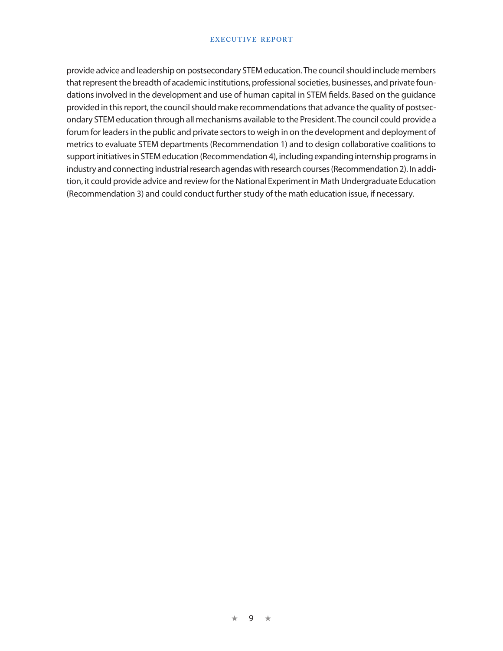#### **Executive Report**

provide advice and leadership on postsecondary STEM education. The council should include members that represent the breadth of academic institutions, professional societies, businesses, and private foundations involved in the development and use of human capital in STEM fields. Based on the guidance provided in this report, the council should make recommendations that advance the quality of postsecondary STEM education through all mechanisms available to the President. The council could provide a forum for leaders in the public and private sectors to weigh in on the development and deployment of metrics to evaluate STEM departments (Recommendation 1) and to design collaborative coalitions to support initiatives in STEM education (Recommendation 4), including expanding internship programs in industry and connecting industrial research agendas with research courses (Recommendation 2). In addition, it could provide advice and review for the National Experiment in Math Undergraduate Education (Recommendation 3) and could conduct further study of the math education issue, if necessary.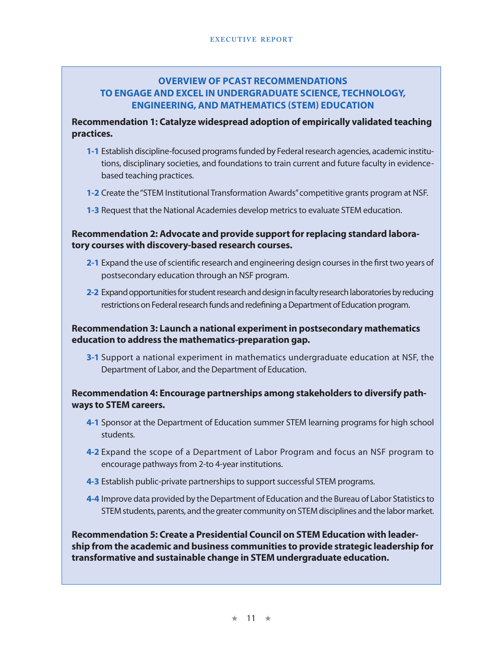## **OVERVIEW OF PCAST RECOMMENDATIONS TO ENGAGE AND EXCEL IN UNDERGRADUATE SCIENCE, TECHNOLOGY, ENGINEERING, AND MATHEMATICS (STEM) EDUCATION**

**Recommendation 1: Catalyze widespread adoption of empirically validated teaching practices.**

- **1-1** Establish discipline-focused programs funded by Federal research agencies, academic institutions, disciplinary societies, and foundations to train current and future faculty in evidencebased teaching practices.
- **1-2** Create the "STEM Institutional Transformation Awards" competitive grants program at NSF.
- **1-3** Request that the National Academies develop metrics to evaluate STEM education.

#### **Recommendation 2: Advocate and provide support for replacing standard laboratory courses with discovery-based research courses.**

- **2-1** Expand the use of scientific research and engineering design courses in the first two years of postsecondary education through an NSF program.
- **2-2** Expand opportunities for student research and design in faculty research laboratories by reducing restrictions on Federal research funds and redefining a Department of Education program.

#### **Recommendation 3: Launch a national experiment in postsecondary mathematics education to address the mathematics-preparation gap.**

**3-1** Support a national experiment in mathematics undergraduate education at NSF, the Department of Labor, and the Department of Education.

#### **Recommendation 4: Encourage partnerships among stakeholders to diversify pathways to STEM careers.**

- **4-1** Sponsor at the Department of Education summer STEM learning programs for high school students.
- **4-2** Expand the scope of a Department of Labor Program and focus an NSF program to encourage pathways from 2-to 4-year institutions.
- **4-3** Establish public-private partnerships to support successful STEM programs.
- **4-4** Improve data provided by the Department of Education and the Bureau of Labor Statistics to STEM students, parents, and the greater community on STEM disciplines and the labor market.

**Recommendation 5: Create a Presidential Council on STEM Education with leadership from the academic and business communities to provide strategic leadership for transformative and sustainable change in STEM undergraduate education.**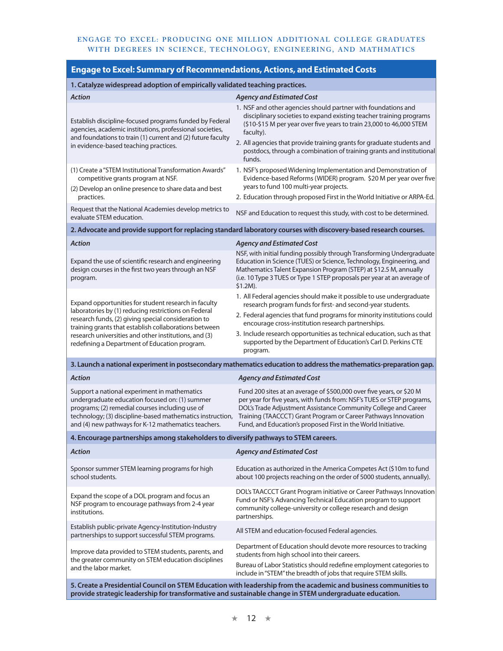#### ENGAGE TO EXCEL: PRODUCING ONE MILLION ADDITIONAL COLLEGE GRADUATES **WITH DEGREES IN SCIENCE, TECHNOLOGY, ENGINEERING, AND MATHMATICS**

| Engage to Excel: Summary of Recommendations, Actions, and Estimated Costs                                                                                                                                                                                                                                                              |                                                                                                                                                                                                                                                                                                                                                                                       |
|----------------------------------------------------------------------------------------------------------------------------------------------------------------------------------------------------------------------------------------------------------------------------------------------------------------------------------------|---------------------------------------------------------------------------------------------------------------------------------------------------------------------------------------------------------------------------------------------------------------------------------------------------------------------------------------------------------------------------------------|
| 1. Catalyze widespread adoption of empirically validated teaching practices.                                                                                                                                                                                                                                                           |                                                                                                                                                                                                                                                                                                                                                                                       |
| <b>Action</b>                                                                                                                                                                                                                                                                                                                          | <b>Agency and Estimated Cost</b>                                                                                                                                                                                                                                                                                                                                                      |
| Establish discipline-focused programs funded by Federal<br>agencies, academic institutions, professional societies,<br>and foundations to train (1) current and (2) future faculty<br>in evidence-based teaching practices.                                                                                                            | 1. NSF and other agencies should partner with foundations and<br>disciplinary societies to expand existing teacher training programs<br>(\$10-\$15 M per year over five years to train 23,000 to 46,000 STEM<br>faculty).<br>2. All agencies that provide training grants for graduate students and<br>postdocs, through a combination of training grants and institutional<br>funds. |
| (1) Create a "STEM Institutional Transformation Awards"<br>competitive grants program at NSF.<br>(2) Develop an online presence to share data and best<br>practices.                                                                                                                                                                   | 1. NSF's proposed Widening Implementation and Demonstration of<br>Evidence-based Reforms (WIDER) program. \$20 M per year over five<br>years to fund 100 multi-year projects.<br>2. Education through proposed First in the World Initiative or ARPA-Ed.                                                                                                                              |
| Request that the National Academies develop metrics to<br>evaluate STEM education.                                                                                                                                                                                                                                                     | NSF and Education to request this study, with cost to be determined.                                                                                                                                                                                                                                                                                                                  |
| 2. Advocate and provide support for replacing standard laboratory courses with discovery-based research courses.                                                                                                                                                                                                                       |                                                                                                                                                                                                                                                                                                                                                                                       |
| <b>Action</b>                                                                                                                                                                                                                                                                                                                          | <b>Agency and Estimated Cost</b>                                                                                                                                                                                                                                                                                                                                                      |
| Expand the use of scientific research and engineering<br>design courses in the first two years through an NSF<br>program.                                                                                                                                                                                                              | NSF, with initial funding possibly through Transforming Undergraduate<br>Education in Science (TUES) or Science, Technology, Engineering, and<br>Mathematics Talent Expansion Program (STEP) at \$12.5 M, annually<br>(i.e. 10 Type 3 TUES or Type 1 STEP proposals per year at an average of<br>$$1.2M$ ).                                                                           |
| Expand opportunities for student research in faculty<br>laboratories by (1) reducing restrictions on Federal<br>research funds, (2) giving special consideration to<br>training grants that establish collaborations between<br>research universities and other institutions, and (3)<br>redefining a Department of Education program. | 1. All Federal agencies should make it possible to use undergraduate<br>research program funds for first- and second-year students.                                                                                                                                                                                                                                                   |
|                                                                                                                                                                                                                                                                                                                                        | 2. Federal agencies that fund programs for minority institutions could<br>encourage cross-institution research partnerships.                                                                                                                                                                                                                                                          |
|                                                                                                                                                                                                                                                                                                                                        | 3. Include research opportunities as technical education, such as that<br>supported by the Department of Education's Carl D. Perkins CTE<br>program.                                                                                                                                                                                                                                  |
| 3. Launch a national experiment in postsecondary mathematics education to address the mathematics-preparation gap.                                                                                                                                                                                                                     |                                                                                                                                                                                                                                                                                                                                                                                       |
| <b>Action</b>                                                                                                                                                                                                                                                                                                                          | <b>Agency and Estimated Cost</b>                                                                                                                                                                                                                                                                                                                                                      |
| Support a national experiment in mathematics<br>undergraduate education focused on: (1) summer<br>programs; (2) remedial courses including use of<br>technology; (3) discipline-based mathematics instruction,<br>and (4) new pathways for K-12 mathematics teachers.                                                                  | Fund 200 sites at an average of \$500,000 over five years, or \$20 M<br>per year for five years, with funds from: NSF's TUES or STEP programs,<br>DOL's Trade Adjustment Assistance Community College and Career<br>Training (TAACCCT) Grant Program or Career Pathways Innovation<br>Fund, and Education's proposed First in the World Initiative.                                   |
| 4. Encourage partnerships among stakeholders to diversify pathways to STEM careers.                                                                                                                                                                                                                                                    |                                                                                                                                                                                                                                                                                                                                                                                       |
| <b>Action</b>                                                                                                                                                                                                                                                                                                                          | <b>Agency and Estimated Cost</b>                                                                                                                                                                                                                                                                                                                                                      |
| Sponsor summer STEM learning programs for high<br>school students.                                                                                                                                                                                                                                                                     | Education as authorized in the America Competes Act (\$10m to fund<br>about 100 projects reaching on the order of 5000 students, annually).                                                                                                                                                                                                                                           |
| Expand the scope of a DOL program and focus an<br>NSF program to encourage pathways from 2-4 year<br>institutions.                                                                                                                                                                                                                     | DOL's TAACCCT Grant Program initiative or Career Pathways Innovation<br>Fund or NSF's Advancing Technical Education program to support<br>community college-university or college research and design<br>partnerships.                                                                                                                                                                |
| Establish public-private Agency-Institution-Industry<br>partnerships to support successful STEM programs.                                                                                                                                                                                                                              | All STEM and education-focused Federal agencies.                                                                                                                                                                                                                                                                                                                                      |
| Improve data provided to STEM students, parents, and<br>the greater community on STEM education disciplines<br>and the labor market.                                                                                                                                                                                                   | Department of Education should devote more resources to tracking<br>students from high school into their careers.                                                                                                                                                                                                                                                                     |
|                                                                                                                                                                                                                                                                                                                                        | Bureau of Labor Statistics should redefine employment categories to<br>include in "STEM" the breadth of jobs that require STEM skills.                                                                                                                                                                                                                                                |
| 5. Create a Presidential Council on STEM Education with leadership from the academic and business communities to<br>provide strategic leadership for transformative and sustainable change in STEM undergraduate education.                                                                                                            |                                                                                                                                                                                                                                                                                                                                                                                       |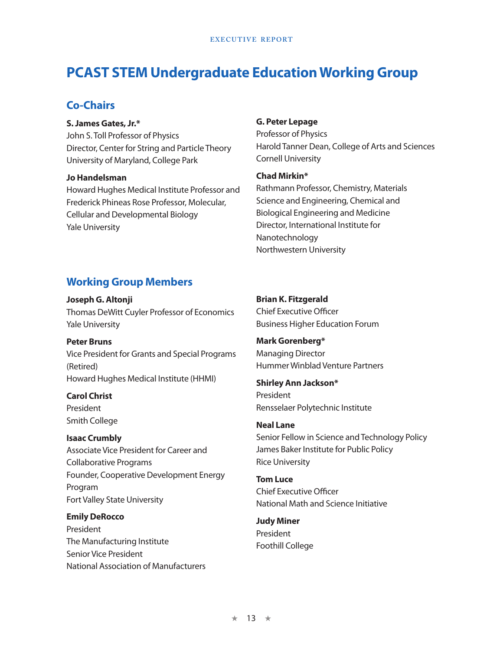## **PCAST STEM Undergraduate Education Working Group**

## **Co-Chairs**

#### **S. James Gates, Jr.\***

John S. Toll Professor of Physics Director, Center for String and Particle Theory University of Maryland, College Park

#### **Jo Handelsman**

Howard Hughes Medical Institute Professor and Frederick Phineas Rose Professor, Molecular, Cellular and Developmental Biology Yale University

## **G. Peter Lepage**

Professor of Physics Harold Tanner Dean, College of Arts and Sciences Cornell University

#### **Chad Mirkin\***

Rathmann Professor, Chemistry, Materials Science and Engineering, Chemical and Biological Engineering and Medicine Director, International Institute for Nanotechnology Northwestern University

## **Working Group Members**

**Joseph G. Altonji** Thomas DeWitt Cuyler Professor of Economics Yale University

**Peter Bruns** Vice President for Grants and Special Programs (Retired) Howard Hughes Medical Institute (HHMI)

**Carol Christ** President Smith College

**Isaac Crumbly** Associate Vice President for Career and Collaborative Programs Founder, Cooperative Development Energy Program Fort Valley State University

## **Emily DeRocco** President The Manufacturing Institute

Senior Vice President National Association of Manufacturers **Brian K. Fitzgerald** Chief Executive Officer Business Higher Education Forum

**Mark Gorenberg\*** Managing Director Hummer Winblad Venture Partners

**Shirley Ann Jackson\*** President Rensselaer Polytechnic Institute

## **Neal Lane**

Senior Fellow in Science and Technology Policy James Baker Institute for Public Policy Rice University

**Tom Luce** Chief Executive Officer National Math and Science Initiative

**Judy Miner** President Foothill College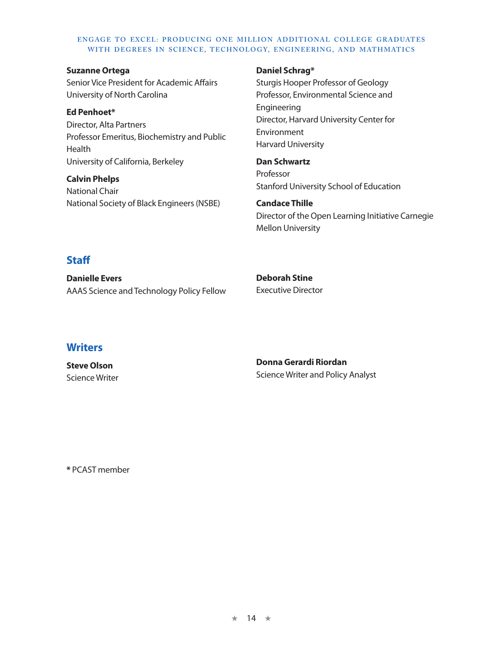#### **ENGAGE TO EXCEL: PRODUCING ONE MILLION ADDITIONAL COLLEGE GRADUATES WITH DEGREES IN SCIENCE, TECHNOLOGY, ENGINEERING, AND MATHMATICS**

#### **Suzanne Ortega**

Senior Vice President for Academic Affairs University of North Carolina

#### **Ed Penhoet\***

Director, Alta Partners Professor Emeritus, Biochemistry and Public Health University of California, Berkeley

**Calvin Phelps** National Chair National Society of Black Engineers (NSBE)

#### **Daniel Schrag\***

Sturgis Hooper Professor of Geology Professor, Environmental Science and Engineering Director, Harvard University Center for Environment Harvard University

**Dan Schwartz** Professor Stanford University School of Education

**Candace Thille** Director of the Open Learning Initiative Carnegie Mellon University

## **Staff**

**Danielle Evers** AAAS Science and Technology Policy Fellow **Deborah Stine** Executive Director

## **Writers**

**Steve Olson** Science Writer **Donna Gerardi Riordan** Science Writer and Policy Analyst

**\*** PCAST member